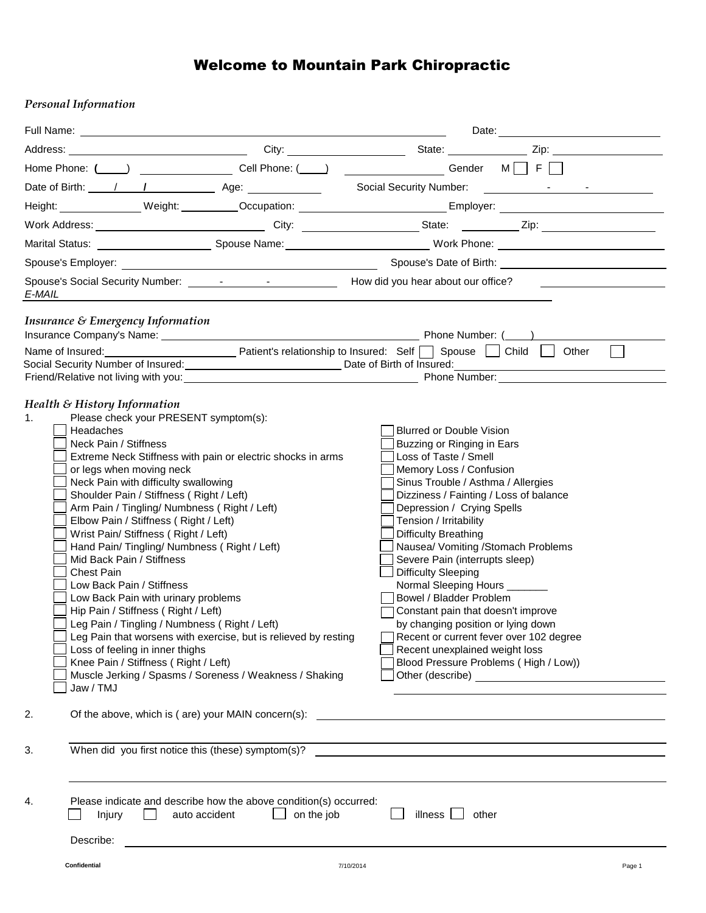## Welcome to Mountain Park Chiropractic

## *Personal Information*

|                                                                                                                                                                                                                                                                                                                                                                                                                                                                                                                                                                                                                                                                                                                                                                                                                                                                                                                                      |                                                                                                                      | Address: <u>New York: City: City: City: State: State: Zip: Zip: Zip: New York: Zip: New York: Zip: Zip: New York: Zip: New York: Zip: Zip: New York: Zip: New York: Zip: New York: Zip: New York: Zip: New York: Zip: New York: </u>                                                                                                                                                                                                                                                                                                                                                                                                           |
|--------------------------------------------------------------------------------------------------------------------------------------------------------------------------------------------------------------------------------------------------------------------------------------------------------------------------------------------------------------------------------------------------------------------------------------------------------------------------------------------------------------------------------------------------------------------------------------------------------------------------------------------------------------------------------------------------------------------------------------------------------------------------------------------------------------------------------------------------------------------------------------------------------------------------------------|----------------------------------------------------------------------------------------------------------------------|------------------------------------------------------------------------------------------------------------------------------------------------------------------------------------------------------------------------------------------------------------------------------------------------------------------------------------------------------------------------------------------------------------------------------------------------------------------------------------------------------------------------------------------------------------------------------------------------------------------------------------------------|
|                                                                                                                                                                                                                                                                                                                                                                                                                                                                                                                                                                                                                                                                                                                                                                                                                                                                                                                                      |                                                                                                                      | Home Phone: (____) _______________________Cell Phone: (____) _______________________Gender M ___ F __                                                                                                                                                                                                                                                                                                                                                                                                                                                                                                                                          |
|                                                                                                                                                                                                                                                                                                                                                                                                                                                                                                                                                                                                                                                                                                                                                                                                                                                                                                                                      |                                                                                                                      |                                                                                                                                                                                                                                                                                                                                                                                                                                                                                                                                                                                                                                                |
|                                                                                                                                                                                                                                                                                                                                                                                                                                                                                                                                                                                                                                                                                                                                                                                                                                                                                                                                      |                                                                                                                      | Height: Weight: Weight: Cocupation: Cocupation: Employer: Completed: Completed: Completed: Completed: Complete                                                                                                                                                                                                                                                                                                                                                                                                                                                                                                                                 |
|                                                                                                                                                                                                                                                                                                                                                                                                                                                                                                                                                                                                                                                                                                                                                                                                                                                                                                                                      |                                                                                                                      |                                                                                                                                                                                                                                                                                                                                                                                                                                                                                                                                                                                                                                                |
|                                                                                                                                                                                                                                                                                                                                                                                                                                                                                                                                                                                                                                                                                                                                                                                                                                                                                                                                      |                                                                                                                      |                                                                                                                                                                                                                                                                                                                                                                                                                                                                                                                                                                                                                                                |
| Spouse's Employer:                                                                                                                                                                                                                                                                                                                                                                                                                                                                                                                                                                                                                                                                                                                                                                                                                                                                                                                   | <u> 1989 - Johann Barn, mars ann an t-Amhain Aonaich an t-Aonaich an t-Aonaich ann an t-Aonaich ann an t-Aonaich</u> |                                                                                                                                                                                                                                                                                                                                                                                                                                                                                                                                                                                                                                                |
| E-MAIL                                                                                                                                                                                                                                                                                                                                                                                                                                                                                                                                                                                                                                                                                                                                                                                                                                                                                                                               |                                                                                                                      |                                                                                                                                                                                                                                                                                                                                                                                                                                                                                                                                                                                                                                                |
| Insurance & Emergency Information                                                                                                                                                                                                                                                                                                                                                                                                                                                                                                                                                                                                                                                                                                                                                                                                                                                                                                    |                                                                                                                      |                                                                                                                                                                                                                                                                                                                                                                                                                                                                                                                                                                                                                                                |
|                                                                                                                                                                                                                                                                                                                                                                                                                                                                                                                                                                                                                                                                                                                                                                                                                                                                                                                                      |                                                                                                                      |                                                                                                                                                                                                                                                                                                                                                                                                                                                                                                                                                                                                                                                |
| Health & History Information<br>Please check your PRESENT symptom(s):<br>1 <sub>1</sub><br>Headaches<br>Neck Pain / Stiffness<br>Extreme Neck Stiffness with pain or electric shocks in arms<br>or legs when moving neck<br>Neck Pain with difficulty swallowing<br>Shoulder Pain / Stiffness (Right / Left)<br>Arm Pain / Tingling/ Numbness (Right / Left)<br>Elbow Pain / Stiffness (Right / Left)<br>Wrist Pain/ Stiffness (Right / Left)<br>Hand Pain/ Tingling/ Numbness ( Right / Left)<br>Mid Back Pain / Stiffness<br><b>Chest Pain</b><br>Low Back Pain / Stiffness<br>Low Back Pain with urinary problems<br>Hip Pain / Stiffness (Right / Left)<br>Leg Pain / Tingling / Numbness ( Right / Left)<br>Leg Pain that worsens with exercise, but is relieved by resting<br>Loss of feeling in inner thighs<br>Knee Pain / Stiffness ( Right / Left)<br>Muscle Jerking / Spasms / Soreness / Weakness / Shaking<br>Jaw / TMJ |                                                                                                                      | Blurred or Double Vision<br>Buzzing or Ringing in Ears<br>Loss of Taste / Smell<br>Memory Loss / Confusion<br>Sinus Trouble / Asthma / Allergies<br>Dizziness / Fainting / Loss of balance<br>Depression / Crying Spells<br>Tension / Irritability<br>Difficulty Breathing<br>Nausea/ Vomiting /Stomach Problems<br>Severe Pain (interrupts sleep)<br><b>Difficulty Sleeping</b><br>Normal Sleeping Hours _______<br>Bowel / Bladder Problem<br>Constant pain that doesn't improve<br>by changing position or lying down<br>Recent or current fever over 102 degree<br>Recent unexplained weight loss<br>Blood Pressure Problems (High / Low)) |
| 2.                                                                                                                                                                                                                                                                                                                                                                                                                                                                                                                                                                                                                                                                                                                                                                                                                                                                                                                                   |                                                                                                                      |                                                                                                                                                                                                                                                                                                                                                                                                                                                                                                                                                                                                                                                |
| 3.                                                                                                                                                                                                                                                                                                                                                                                                                                                                                                                                                                                                                                                                                                                                                                                                                                                                                                                                   |                                                                                                                      |                                                                                                                                                                                                                                                                                                                                                                                                                                                                                                                                                                                                                                                |
| Please indicate and describe how the above condition(s) occurred:<br>4.<br>auto accident<br>Injury<br>$\blacksquare$<br>Describe:                                                                                                                                                                                                                                                                                                                                                                                                                                                                                                                                                                                                                                                                                                                                                                                                    | on the job                                                                                                           | illness  <br>other                                                                                                                                                                                                                                                                                                                                                                                                                                                                                                                                                                                                                             |